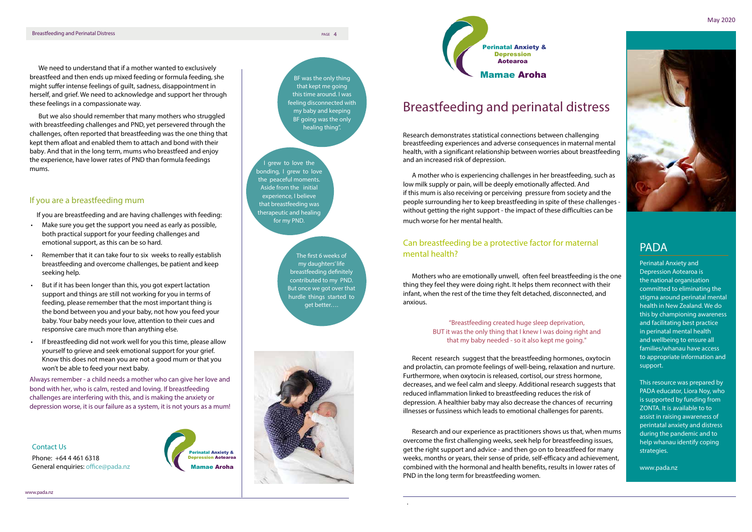# PADA

Perinatal Anxiety and Depression Aotearoa is the national organisation committed to eliminating the stigma around perinatal mental health in New Zealand. We do this by championing awareness and facilitating best practice in perinatal mental health and wellbeing to ensure all families/whanau have access to appropriate information and support.

This resource was prepared by PADA educator, Liora Noy, who is supported by funding from ZONTA. It is available to to assist in raising awareness of perintatal anxiety and distress during the pandemic and to help whanau identify coping strategies.

www.pada.nz

### Contact Us

Phone: +64 4 461 6318 General enquiries: office@pada.nz



www.pada.nz

# Breastfeeding and perinatal distress

Research demonstrates statistical connections between challenging breastfeeding experiences and adverse consequences in maternal mental health, with a significant relationship between worries about breastfeeding and an increased risk of depression.

A mother who is experiencing challenges in her breastfeeding, such as low milk supply or pain, will be deeply emotionally affected. And if this mum is also receiving or perceiving pressure from society and the people surrounding her to keep breastfeeding in spite of these challenges without getting the right support - the impact of these difficulties can be much worse for her mental health.

# Can breastfeeding be a protective factor for maternal mental health?

Mothers who are emotionally unwell, often feel breastfeeding is the one thing they feel they were doing right. It helps them reconnect with their infant, when the rest of the time they felt detached, disconnected, and anxious.

### "Breastfeeding created huge sleep deprivation, BUT it was the only thing that I knew I was doing right and that my baby needed - so it also kept me going."

Recent research suggest that the breastfeeding hormones, oxytocin and prolactin, can promote feelings of well-being, relaxation and nurture. Furthermore, when oxytocin is released, cortisol, our stress hormone, decreases, and we feel calm and sleepy. Additional research suggests that reduced inflammation linked to breastfeeding reduces the risk of depression. A healthier baby may also decrease the chances of recurring illnesses or fussiness which leads to emotional challenges for parents.

Research and our experience as practitioners shows us that, when mums overcome the first challenging weeks, seek help for breastfeeding issues, get the right support and advice - and then go on to breastfeed for many weeks, months or years, their sense of pride, self-efficacy and achievement, combined with the hormonal and health benefits, results in lower rates of PND in the long term for breastfeeding women.

.

The first 6 weeks of my daughters' life breastfeeding definitely contributed to my PND. But once we got over that hurdle things started to get better….



I grew to love the bonding, I grew to love the peaceful moments. Aside from the initial experience, I believe that breastfeeding was therapeutic and healing for my PND.

BF was the only thing that kept me going this time around. I was feeling disconnected with my baby and keeping BF going was the only healing thing".





We need to understand that if a mother wanted to exclusively breastfeed and then ends up mixed feeding or formula feeding, she might suffer intense feelings of guilt, sadness, disappointment in herself, and grief. We need to acknowledge and support her through these feelings in a compassionate way.

But we also should remember that many mothers who struggled with breastfeeding challenges and PND, yet persevered through the challenges, often reported that breastfeeding was the one thing that kept them afloat and enabled them to attach and bond with their baby. And that in the long term, mums who breastfeed and enjoy the experience, have lower rates of PND than formula feedings mums.

## If you are a breastfeeding mum

If you are breastfeeding and are having challenges with feeding:

- Make sure you get the support you need as early as possible, both practical support for your feeding challenges and emotional support, as this can be so hard.
- Remember that it can take four to six weeks to really establish breastfeeding and overcome challenges, be patient and keep seeking help.
- But if it has been longer than this, you got expert lactation support and things are still not working for you in terms of feeding, please remember that the most important thing is the bond between you and your baby, not how you feed your baby. Your baby needs your love, attention to their cues and responsive care much more than anything else.
- If breastfeeding did not work well for you this time, please allow yourself to grieve and seek emotional support for your grief. Know this does not mean you are not a good mum or that you won't be able to feed your next baby.

Always remember - a child needs a mother who can give her love and bond with her, who is calm, rested and loving. If breastfeeding challenges are interfering with this, and is making the anxiety or depression worse, it is our failure as a system, it is not yours as a mum!